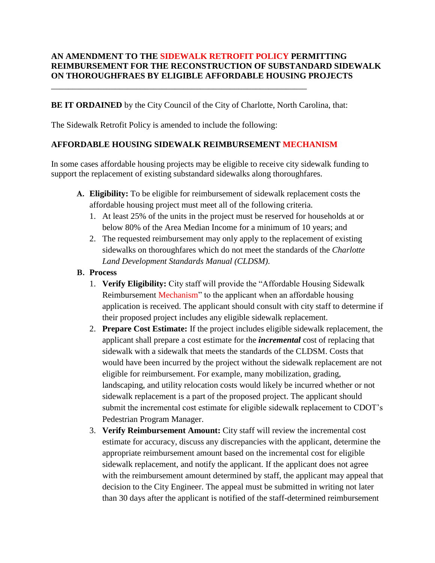## **AN AMENDMENT TO THE SIDEWALK RETROFIT POLICY PERMITTING REIMBURSEMENT FOR THE RECONSTRUCTION OF SUBSTANDARD SIDEWALK ON THOROUGHFRAES BY ELIGIBLE AFFORDABLE HOUSING PROJECTS**

**BE IT ORDAINED** by the City Council of the City of Charlotte, North Carolina, that:

The Sidewalk Retrofit Policy is amended to include the following:

\_\_\_\_\_\_\_\_\_\_\_\_\_\_\_\_\_\_\_\_\_\_\_\_\_\_\_\_\_\_\_\_\_\_\_\_\_\_\_\_\_\_\_\_\_\_\_\_\_\_\_\_\_\_\_\_\_\_\_\_

## **AFFORDABLE HOUSING SIDEWALK REIMBURSEMENT MECHANISM**

In some cases affordable housing projects may be eligible to receive city sidewalk funding to support the replacement of existing substandard sidewalks along thoroughfares.

- **A. Eligibility:** To be eligible for reimbursement of sidewalk replacement costs the affordable housing project must meet all of the following criteria.
	- 1. At least 25% of the units in the project must be reserved for households at or below 80% of the Area Median Income for a minimum of 10 years; and
	- 2. The requested reimbursement may only apply to the replacement of existing sidewalks on thoroughfares which do not meet the standards of the *Charlotte Land Development Standards Manual (CLDSM)*.

## **B. Process**

- 1. **Verify Eligibility:** City staff will provide the "Affordable Housing Sidewalk Reimbursement Mechanism" to the applicant when an affordable housing application is received. The applicant should consult with city staff to determine if their proposed project includes any eligible sidewalk replacement.
- 2. **Prepare Cost Estimate:** If the project includes eligible sidewalk replacement, the applicant shall prepare a cost estimate for the *incremental* cost of replacing that sidewalk with a sidewalk that meets the standards of the CLDSM. Costs that would have been incurred by the project without the sidewalk replacement are not eligible for reimbursement. For example, many mobilization, grading, landscaping, and utility relocation costs would likely be incurred whether or not sidewalk replacement is a part of the proposed project. The applicant should submit the incremental cost estimate for eligible sidewalk replacement to CDOT's Pedestrian Program Manager.
- 3. **Verify Reimbursement Amount:** City staff will review the incremental cost estimate for accuracy, discuss any discrepancies with the applicant, determine the appropriate reimbursement amount based on the incremental cost for eligible sidewalk replacement, and notify the applicant. If the applicant does not agree with the reimbursement amount determined by staff, the applicant may appeal that decision to the City Engineer. The appeal must be submitted in writing not later than 30 days after the applicant is notified of the staff-determined reimbursement